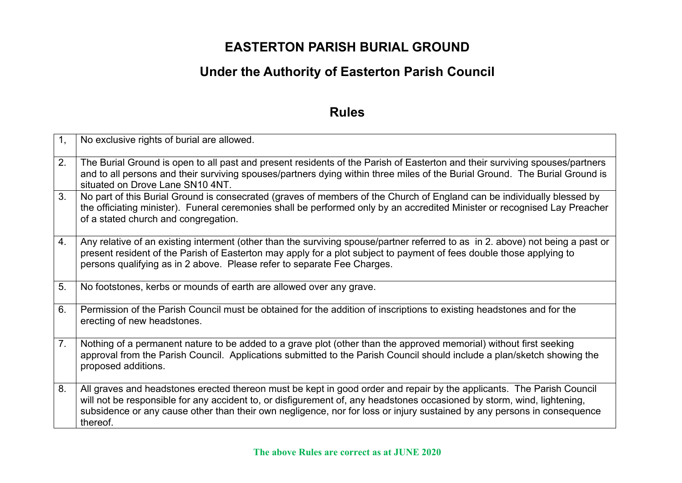## **EASTERTON PARISH BURIAL GROUND**

# **Under the Authority of Easterton Parish Council**

### **Rules**

| 1,             | No exclusive rights of burial are allowed.                                                                                                                                                                                                                                                                                                                                              |
|----------------|-----------------------------------------------------------------------------------------------------------------------------------------------------------------------------------------------------------------------------------------------------------------------------------------------------------------------------------------------------------------------------------------|
| 2.             | The Burial Ground is open to all past and present residents of the Parish of Easterton and their surviving spouses/partners<br>and to all persons and their surviving spouses/partners dying within three miles of the Burial Ground. The Burial Ground is<br>situated on Drove Lane SN10 4NT.                                                                                          |
| 3.             | No part of this Burial Ground is consecrated (graves of members of the Church of England can be individually blessed by<br>the officiating minister). Funeral ceremonies shall be performed only by an accredited Minister or recognised Lay Preacher<br>of a stated church and congregation.                                                                                           |
| 4.             | Any relative of an existing interment (other than the surviving spouse/partner referred to as in 2. above) not being a past or<br>present resident of the Parish of Easterton may apply for a plot subject to payment of fees double those applying to<br>persons qualifying as in 2 above. Please refer to separate Fee Charges.                                                       |
| 5.             | No footstones, kerbs or mounds of earth are allowed over any grave.                                                                                                                                                                                                                                                                                                                     |
| 6.             | Permission of the Parish Council must be obtained for the addition of inscriptions to existing headstones and for the<br>erecting of new headstones.                                                                                                                                                                                                                                    |
| 7 <sub>1</sub> | Nothing of a permanent nature to be added to a grave plot (other than the approved memorial) without first seeking<br>approval from the Parish Council. Applications submitted to the Parish Council should include a plan/sketch showing the<br>proposed additions.                                                                                                                    |
| 8.             | All graves and headstones erected thereon must be kept in good order and repair by the applicants. The Parish Council<br>will not be responsible for any accident to, or disfigurement of, any headstones occasioned by storm, wind, lightening,<br>subsidence or any cause other than their own negligence, nor for loss or injury sustained by any persons in consequence<br>thereof. |